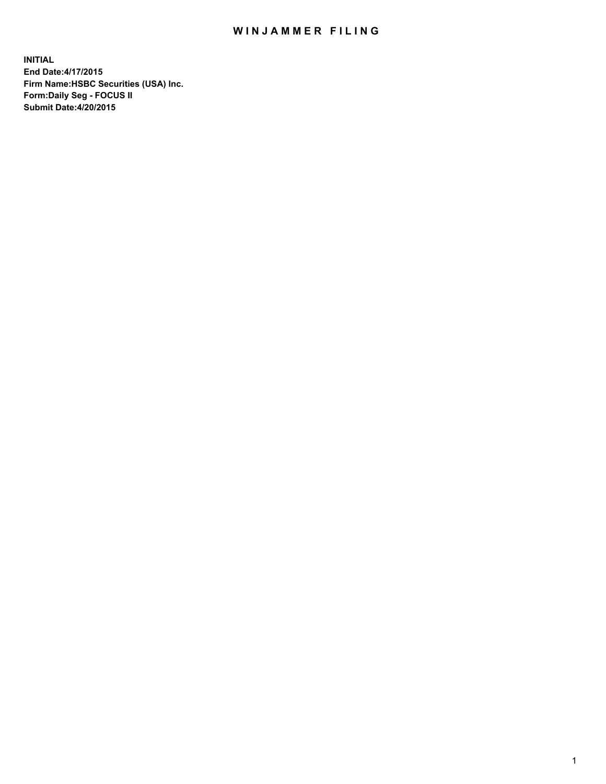## WIN JAMMER FILING

**INITIAL End Date:4/17/2015 Firm Name:HSBC Securities (USA) Inc. Form:Daily Seg - FOCUS II Submit Date:4/20/2015**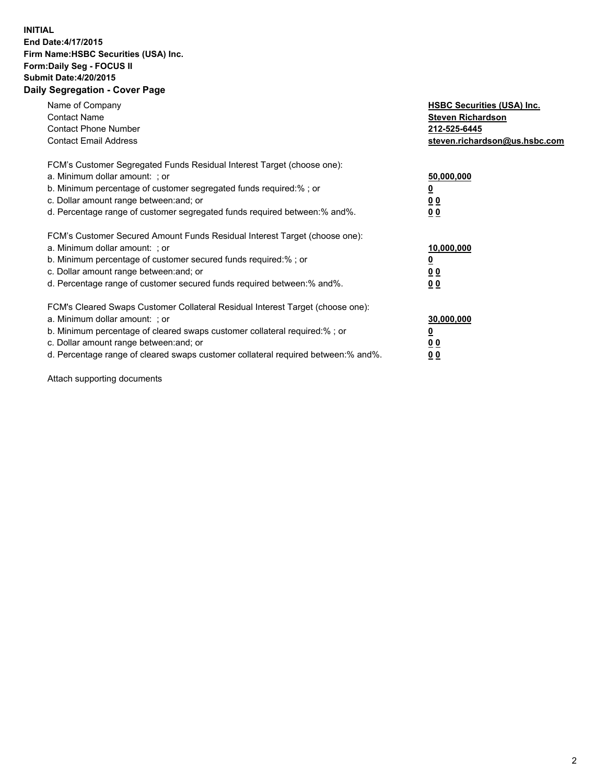## **INITIAL End Date:4/17/2015 Firm Name:HSBC Securities (USA) Inc. Form:Daily Seg - FOCUS II Submit Date:4/20/2015 Daily Segregation - Cover Page**

| Name of Company<br><b>Contact Name</b><br><b>Contact Phone Number</b><br><b>Contact Email Address</b>                                                                                                                                                                                                                          | <b>HSBC Securities (USA) Inc.</b><br><b>Steven Richardson</b><br>212-525-6445<br>steven.richardson@us.hsbc.com |
|--------------------------------------------------------------------------------------------------------------------------------------------------------------------------------------------------------------------------------------------------------------------------------------------------------------------------------|----------------------------------------------------------------------------------------------------------------|
| FCM's Customer Segregated Funds Residual Interest Target (choose one):<br>a. Minimum dollar amount: ; or<br>b. Minimum percentage of customer segregated funds required:%; or<br>c. Dollar amount range between: and; or<br>d. Percentage range of customer segregated funds required between: % and %.                        | 50,000,000<br>0 <sub>0</sub><br>0 <sub>0</sub>                                                                 |
| FCM's Customer Secured Amount Funds Residual Interest Target (choose one):<br>a. Minimum dollar amount: ; or<br>b. Minimum percentage of customer secured funds required:%; or<br>c. Dollar amount range between: and; or<br>d. Percentage range of customer secured funds required between:% and%.                            | 10,000,000<br><u>0</u><br>0 <sub>0</sub><br>0 <sub>0</sub>                                                     |
| FCM's Cleared Swaps Customer Collateral Residual Interest Target (choose one):<br>a. Minimum dollar amount: ; or<br>b. Minimum percentage of cleared swaps customer collateral required:% ; or<br>c. Dollar amount range between: and; or<br>d. Percentage range of cleared swaps customer collateral required between:% and%. | 30,000,000<br>00<br><u>00</u>                                                                                  |

Attach supporting documents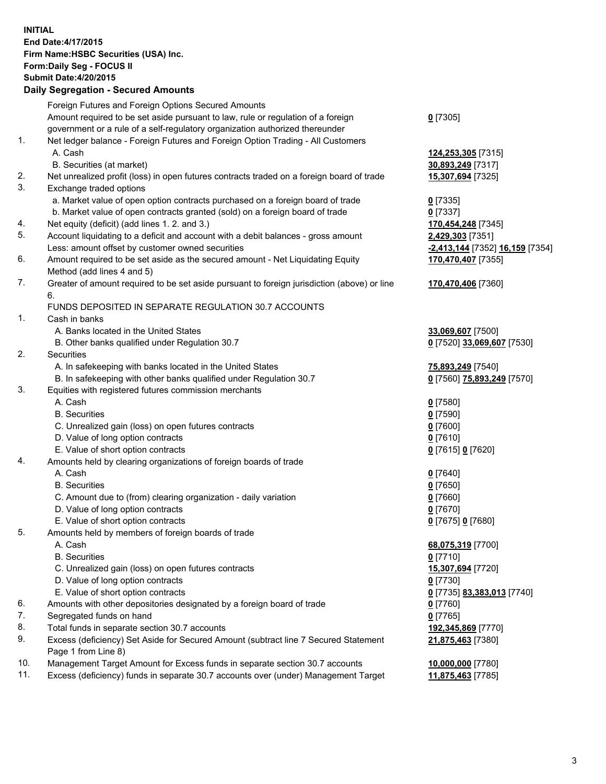**INITIAL End Date:4/17/2015 Firm Name:HSBC Securities (USA) Inc. Form:Daily Seg - FOCUS II Submit Date:4/20/2015 Daily Segregation - Secured Amounts**

Foreign Futures and Foreign Options Secured Amounts Amount required to be set aside pursuant to law, rule or regulation of a foreign government or a rule of a self-regulatory organization authorized thereunder **0** [7305] 1. Net ledger balance - Foreign Futures and Foreign Option Trading - All Customers A. Cash **124,253,305** [7315] B. Securities (at market) **30,893,249** [7317] 2. Net unrealized profit (loss) in open futures contracts traded on a foreign board of trade **15,307,694** [7325] 3. Exchange traded options a. Market value of open option contracts purchased on a foreign board of trade **0** [7335] b. Market value of open contracts granted (sold) on a foreign board of trade **0** [7337] 4. Net equity (deficit) (add lines 1. 2. and 3.) **170,454,248** [7345] 5. Account liquidating to a deficit and account with a debit balances - gross amount **2,429,303** [7351] Less: amount offset by customer owned securities **-2,413,144** [7352] **16,159** [7354] 6. Amount required to be set aside as the secured amount - Net Liquidating Equity Method (add lines 4 and 5) **170,470,407** [7355] 7. Greater of amount required to be set aside pursuant to foreign jurisdiction (above) or line 6. **170,470,406** [7360] FUNDS DEPOSITED IN SEPARATE REGULATION 30.7 ACCOUNTS 1. Cash in banks A. Banks located in the United States **33,069,607** [7500] B. Other banks qualified under Regulation 30.7 **0** [7520] **33,069,607** [7530] 2. Securities A. In safekeeping with banks located in the United States **75,893,249** [7540] B. In safekeeping with other banks qualified under Regulation 30.7 **0** [7560] **75,893,249** [7570] 3. Equities with registered futures commission merchants A. Cash **0** [7580] B. Securities **0** [7590] C. Unrealized gain (loss) on open futures contracts **0** [7600] D. Value of long option contracts **0** [7610] E. Value of short option contracts **0** [7615] **0** [7620] 4. Amounts held by clearing organizations of foreign boards of trade A. Cash **0** [7640] B. Securities **0** [7650] C. Amount due to (from) clearing organization - daily variation **0** [7660] D. Value of long option contracts **0** [7670] E. Value of short option contracts **0** [7675] **0** [7680] 5. Amounts held by members of foreign boards of trade A. Cash **68,075,319** [7700] B. Securities **0** [7710] C. Unrealized gain (loss) on open futures contracts **15,307,694** [7720] D. Value of long option contracts **0** [7730] E. Value of short option contracts **0** [7735] **83,383,013** [7740] 6. Amounts with other depositories designated by a foreign board of trade **0** [7760] 7. Segregated funds on hand **0** [7765] 8. Total funds in separate section 30.7 accounts **192,345,869** [7770] 9. Excess (deficiency) Set Aside for Secured Amount (subtract line 7 Secured Statement Page 1 from Line 8) **21,875,463** [7380] 10. Management Target Amount for Excess funds in separate section 30.7 accounts **10,000,000** [7780] 11. Excess (deficiency) funds in separate 30.7 accounts over (under) Management Target **11,875,463** [7785]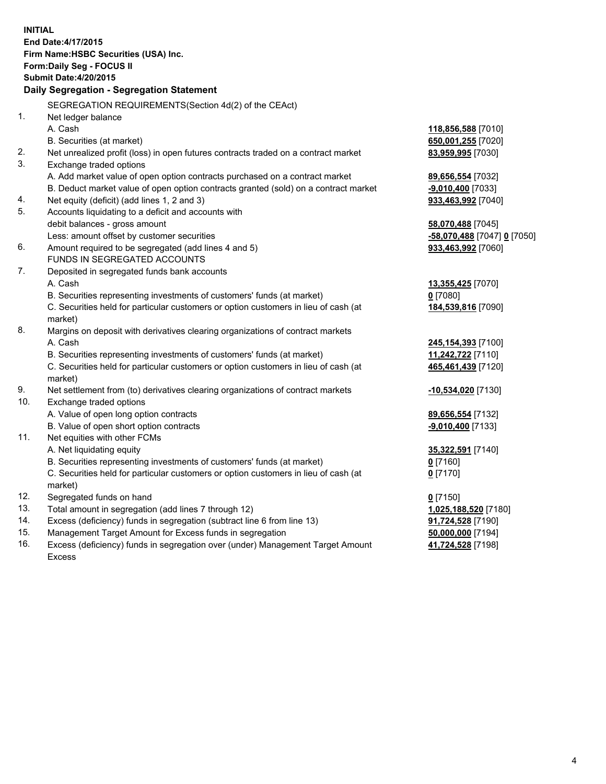| <b>INITIAL</b> | End Date: 4/17/2015<br>Firm Name: HSBC Securities (USA) Inc.<br>Form: Daily Seg - FOCUS II<br><b>Submit Date:4/20/2015</b><br>Daily Segregation - Segregation Statement |                                                  |
|----------------|-------------------------------------------------------------------------------------------------------------------------------------------------------------------------|--------------------------------------------------|
|                | SEGREGATION REQUIREMENTS(Section 4d(2) of the CEAct)                                                                                                                    |                                                  |
| 1.             | Net ledger balance                                                                                                                                                      |                                                  |
|                | A. Cash                                                                                                                                                                 | 118,856,588 [7010]                               |
|                | B. Securities (at market)                                                                                                                                               | 650,001,255 [7020]                               |
| 2.<br>3.       | Net unrealized profit (loss) in open futures contracts traded on a contract market                                                                                      | 83,959,995 [7030]                                |
|                | Exchange traded options                                                                                                                                                 |                                                  |
|                | A. Add market value of open option contracts purchased on a contract market                                                                                             | 89,656,554 [7032]                                |
|                | B. Deduct market value of open option contracts granted (sold) on a contract market                                                                                     | -9,010,400 [7033]                                |
| 4.<br>5.       | Net equity (deficit) (add lines 1, 2 and 3)                                                                                                                             | 933,463,992 [7040]                               |
|                | Accounts liquidating to a deficit and accounts with                                                                                                                     |                                                  |
|                | debit balances - gross amount<br>Less: amount offset by customer securities                                                                                             | 58,070,488 [7045]<br>-58,070,488 [7047] 0 [7050] |
| 6.             | Amount required to be segregated (add lines 4 and 5)                                                                                                                    | 933,463,992 [7060]                               |
|                | FUNDS IN SEGREGATED ACCOUNTS                                                                                                                                            |                                                  |
| 7.             | Deposited in segregated funds bank accounts                                                                                                                             |                                                  |
|                | A. Cash                                                                                                                                                                 | 13,355,425 [7070]                                |
|                | B. Securities representing investments of customers' funds (at market)                                                                                                  | $0$ [7080]                                       |
|                | C. Securities held for particular customers or option customers in lieu of cash (at                                                                                     | 184,539,816 [7090]                               |
|                | market)                                                                                                                                                                 |                                                  |
| 8.             | Margins on deposit with derivatives clearing organizations of contract markets                                                                                          |                                                  |
|                | A. Cash                                                                                                                                                                 | 245,154,393 [7100]                               |
|                | B. Securities representing investments of customers' funds (at market)                                                                                                  | 11,242,722 [7110]                                |
|                | C. Securities held for particular customers or option customers in lieu of cash (at                                                                                     | 465,461,439 [7120]                               |
|                | market)                                                                                                                                                                 |                                                  |
| 9.             | Net settlement from (to) derivatives clearing organizations of contract markets                                                                                         | -10,534,020 [7130]                               |
| 10.            | Exchange traded options                                                                                                                                                 |                                                  |
|                | A. Value of open long option contracts                                                                                                                                  | 89,656,554 [7132]                                |
|                | B. Value of open short option contracts                                                                                                                                 | -9,010,400 [7133]                                |
| 11.            | Net equities with other FCMs                                                                                                                                            |                                                  |
|                | A. Net liquidating equity                                                                                                                                               | 35,322,591 [7140]                                |
|                | B. Securities representing investments of customers' funds (at market)                                                                                                  | $0$ [7160]                                       |
|                | C. Securities held for particular customers or option customers in lieu of cash (at                                                                                     | $0$ [7170]                                       |
|                | market)                                                                                                                                                                 |                                                  |
| 12.            | Segregated funds on hand                                                                                                                                                | $0$ [7150]                                       |
| 13.            | Total amount in segregation (add lines 7 through 12)                                                                                                                    | 1,025,188,520 [7180]                             |
| 14.            | Excess (deficiency) funds in segregation (subtract line 6 from line 13)                                                                                                 | 91,724,528 [7190]                                |
| 15.            | Management Target Amount for Excess funds in segregation                                                                                                                | 50,000,000 [7194]                                |
| 16.            | Excess (deficiency) funds in segregation over (under) Management Target Amount                                                                                          | 41,724,528 [7198]                                |
|                | <b>Excess</b>                                                                                                                                                           |                                                  |